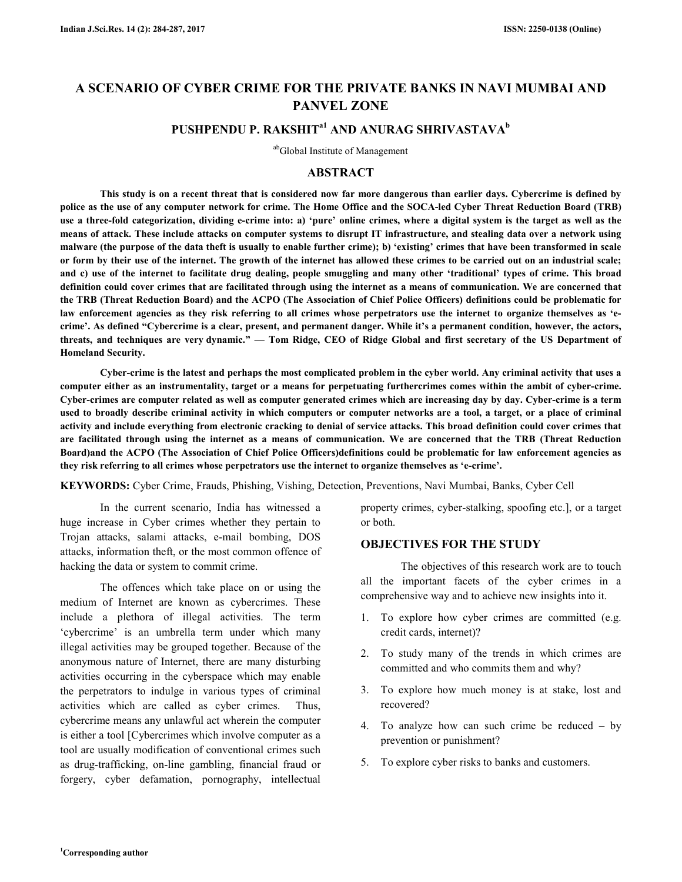# **A SCENARIO OF CYBER CRIME FOR THE PRIVATE BANKS IN NAVI MUMBAI AND PANVEL ZONE**

## **PUSHPENDU P. RAKSHITa1 AND ANURAG SHRIVASTAVA<sup>b</sup>**

abGlobal Institute of Management

#### **ABSTRACT**

 **This study is on a recent threat that is considered now far more dangerous than earlier days. Cybercrime is defined by police as the use of any computer network for crime. The Home Office and the SOCA-led Cyber Threat Reduction Board (TRB) use a three-fold categorization, dividing e-crime into: a) 'pure' online crimes, where a digital system is the target as well as the means of attack. These include attacks on computer systems to disrupt IT infrastructure, and stealing data over a network using malware (the purpose of the data theft is usually to enable further crime); b) 'existing' crimes that have been transformed in scale or form by their use of the internet. The growth of the internet has allowed these crimes to be carried out on an industrial scale; and c) use of the internet to facilitate drug dealing, people smuggling and many other 'traditional' types of crime. This broad definition could cover crimes that are facilitated through using the internet as a means of communication. We are concerned that the TRB (Threat Reduction Board) and the ACPO (The Association of Chief Police Officers) definitions could be problematic for**  law enforcement agencies as they risk referring to all crimes whose perpetrators use the internet to organize themselves as 'e**crime'. As defined "Cybercrime is a clear, present, and permanent danger. While it's a permanent condition, however, the actors, threats, and techniques are very dynamic." — Tom Ridge, CEO of Ridge Global and first secretary of the US Department of Homeland Security.** 

 **Cyber-crime is the latest and perhaps the most complicated problem in the cyber world. Any criminal activity that uses a computer either as an instrumentality, target or a means for perpetuating furthercrimes comes within the ambit of cyber-crime. Cyber-crimes are computer related as well as computer generated crimes which are increasing day by day. Cyber-crime is a term used to broadly describe criminal activity in which computers or computer networks are a tool, a target, or a place of criminal activity and include everything from electronic cracking to denial of service attacks. This broad definition could cover crimes that are facilitated through using the internet as a means of communication. We are concerned that the TRB (Threat Reduction Board)and the ACPO (The Association of Chief Police Officers)definitions could be problematic for law enforcement agencies as they risk referring to all crimes whose perpetrators use the internet to organize themselves as 'e-crime'.** 

**KEYWORDS:** Cyber Crime, Frauds, Phishing, Vishing, Detection, Preventions, Navi Mumbai, Banks, Cyber Cell

 In the current scenario, India has witnessed a huge increase in Cyber crimes whether they pertain to Trojan attacks, salami attacks, e-mail bombing, DOS attacks, information theft, or the most common offence of hacking the data or system to commit crime.

 The offences which take place on or using the medium of Internet are known as cybercrimes. These include a plethora of illegal activities. The term 'cybercrime' is an umbrella term under which many illegal activities may be grouped together. Because of the anonymous nature of Internet, there are many disturbing activities occurring in the cyberspace which may enable the perpetrators to indulge in various types of criminal activities which are called as cyber crimes. Thus, cybercrime means any unlawful act wherein the computer is either a tool [Cybercrimes which involve computer as a tool are usually modification of conventional crimes such as drug-trafficking, on-line gambling, financial fraud or forgery, cyber defamation, pornography, intellectual

property crimes, cyber-stalking, spoofing etc.], or a target or both.

### **OBJECTIVES FOR THE STUDY**

 The objectives of this research work are to touch all the important facets of the cyber crimes in a comprehensive way and to achieve new insights into it.

- 1. To explore how cyber crimes are committed (e.g. credit cards, internet)?
- 2. To study many of the trends in which crimes are committed and who commits them and why?
- 3. To explore how much money is at stake, lost and recovered?
- 4. To analyze how can such crime be reduced by prevention or punishment?
- 5. To explore cyber risks to banks and customers.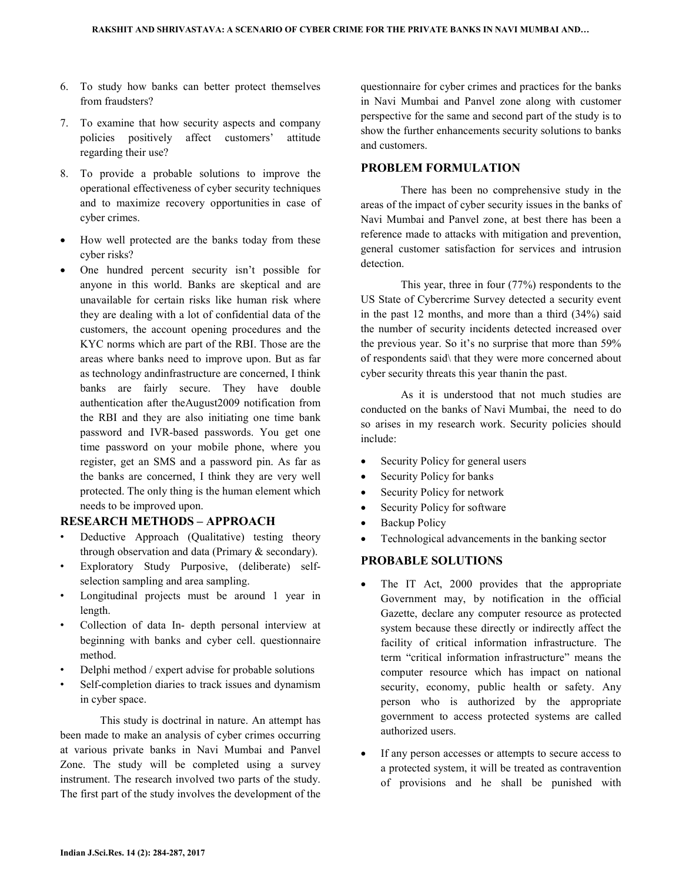- 6. To study how banks can better protect themselves from fraudsters?
- 7. To examine that how security aspects and company policies positively affect customers' attitude regarding their use?
- 8. To provide a probable solutions to improve the operational effectiveness of cyber security techniques and to maximize recovery opportunities in case of cyber crimes.
- How well protected are the banks today from these cyber risks?
- One hundred percent security isn't possible for anyone in this world. Banks are skeptical and are unavailable for certain risks like human risk where they are dealing with a lot of confidential data of the customers, the account opening procedures and the KYC norms which are part of the RBI. Those are the areas where banks need to improve upon. But as far as technology andinfrastructure are concerned, I think banks are fairly secure. They have double authentication after theAugust2009 notification from the RBI and they are also initiating one time bank password and IVR-based passwords. You get one time password on your mobile phone, where you register, get an SMS and a password pin. As far as the banks are concerned, I think they are very well protected. The only thing is the human element which needs to be improved upon.

### **RESEARCH METHODS – APPROACH**

- Deductive Approach (Qualitative) testing theory through observation and data (Primary & secondary).
- Exploratory Study Purposive, (deliberate) selfselection sampling and area sampling.
- Longitudinal projects must be around 1 year in length.
- Collection of data In- depth personal interview at beginning with banks and cyber cell. questionnaire method.
- Delphi method / expert advise for probable solutions
- Self-completion diaries to track issues and dynamism in cyber space.

 This study is doctrinal in nature. An attempt has been made to make an analysis of cyber crimes occurring at various private banks in Navi Mumbai and Panvel Zone. The study will be completed using a survey instrument. The research involved two parts of the study. The first part of the study involves the development of the

questionnaire for cyber crimes and practices for the banks in Navi Mumbai and Panvel zone along with customer perspective for the same and second part of the study is to show the further enhancements security solutions to banks and customers.

### **PROBLEM FORMULATION**

 There has been no comprehensive study in the areas of the impact of cyber security issues in the banks of Navi Mumbai and Panvel zone, at best there has been a reference made to attacks with mitigation and prevention, general customer satisfaction for services and intrusion detection.

 This year, three in four (77%) respondents to the US State of Cybercrime Survey detected a security event in the past 12 months, and more than a third (34%) said the number of security incidents detected increased over the previous year. So it's no surprise that more than 59% of respondents said\ that they were more concerned about cyber security threats this year thanin the past.

 As it is understood that not much studies are conducted on the banks of Navi Mumbai, the need to do so arises in my research work. Security policies should include:

- Security Policy for general users
- Security Policy for banks
- Security Policy for network
- Security Policy for software
- Backup Policy
- Technological advancements in the banking sector

#### **PROBABLE SOLUTIONS**

- The IT Act, 2000 provides that the appropriate Government may, by notification in the official Gazette, declare any computer resource as protected system because these directly or indirectly affect the facility of critical information infrastructure. The term "critical information infrastructure" means the computer resource which has impact on national security, economy, public health or safety. Any person who is authorized by the appropriate government to access protected systems are called authorized users.
- If any person accesses or attempts to secure access to a protected system, it will be treated as contravention of provisions and he shall be punished with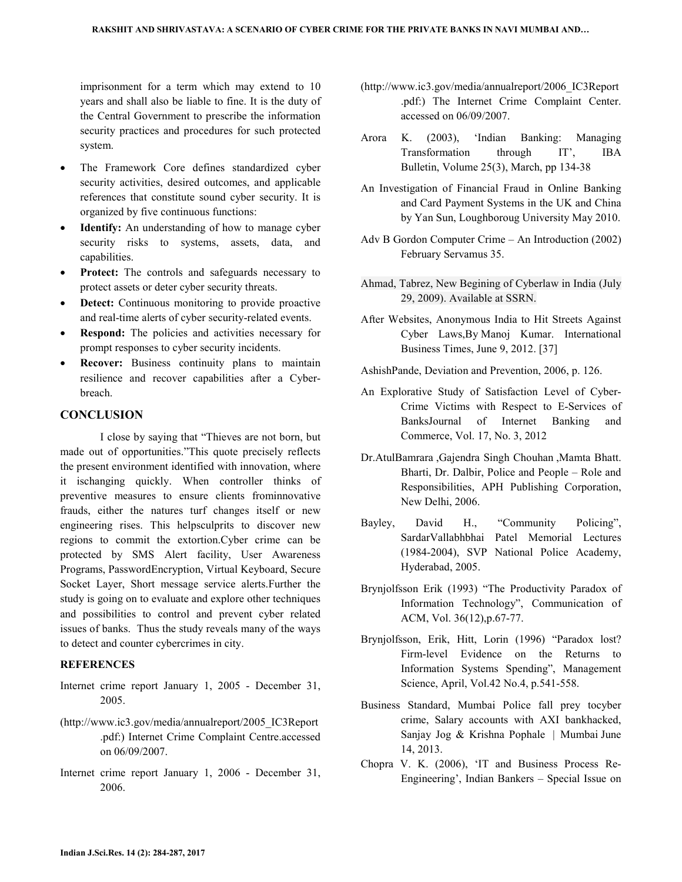imprisonment for a term which may extend to 10 years and shall also be liable to fine. It is the duty of the Central Government to prescribe the information security practices and procedures for such protected system.

- The Framework Core defines standardized cyber security activities, desired outcomes, and applicable references that constitute sound cyber security. It is organized by five continuous functions:
- **Identify:** An understanding of how to manage cyber security risks to systems, assets, data, and capabilities.
- **Protect:** The controls and safeguards necessary to protect assets or deter cyber security threats.
- **Detect:** Continuous monitoring to provide proactive and real-time alerts of cyber security-related events.
- **Respond:** The policies and activities necessary for prompt responses to cyber security incidents.
- **Recover:** Business continuity plans to maintain resilience and recover capabilities after a Cyberbreach.

#### **CONCLUSION**

I close by saying that "Thieves are not born, but made out of opportunities."This quote precisely reflects the present environment identified with innovation, where it ischanging quickly. When controller thinks of preventive measures to ensure clients frominnovative frauds, either the natures turf changes itself or new engineering rises. This helpsculprits to discover new regions to commit the extortion.Cyber crime can be protected by SMS Alert facility, User Awareness Programs, PasswordEncryption, Virtual Keyboard, Secure Socket Layer, Short message service alerts.Further the study is going on to evaluate and explore other techniques and possibilities to control and prevent cyber related issues of banks. Thus the study reveals many of the ways to detect and counter cybercrimes in city.

### **REFERENCES**

- Internet crime report January 1, 2005 December 31, 2005.
- (http://www.ic3.gov/media/annualreport/2005\_IC3Report .pdf:) Internet Crime Complaint Centre.accessed on 06/09/2007.
- Internet crime report January 1, 2006 December 31, 2006.
- (http://www.ic3.gov/media/annualreport/2006\_IC3Report .pdf:) The Internet Crime Complaint Center. accessed on 06/09/2007.
- Arora K. (2003), 'Indian Banking: Managing Transformation through IT', IBA Bulletin, Volume 25(3), March, pp 134-38
- An Investigation of Financial Fraud in Online Banking and Card Payment Systems in the UK and China by Yan Sun, Loughboroug University May 2010.
- Adv B Gordon Computer Crime An Introduction (2002) February Servamus 35.
- Ahmad, Tabrez, New Begining of Cyberlaw in India (July 29, 2009). Available at SSRN.
- After Websites, Anonymous India to Hit Streets Against Cyber Laws,By Manoj Kumar. International Business Times, June 9, 2012. [37]
- AshishPande, Deviation and Prevention, 2006, p. 126.
- An Explorative Study of Satisfaction Level of Cyber-Crime Victims with Respect to E-Services of BanksJournal of Internet Banking and Commerce, Vol. 17, No. 3, 2012
- Dr.AtulBamrara ,Gajendra Singh Chouhan ,Mamta Bhatt. Bharti, Dr. Dalbir, Police and People – Role and Responsibilities, APH Publishing Corporation, New Delhi, 2006.
- Bayley, David H., "Community Policing", SardarVallabhbhai Patel Memorial Lectures (1984-2004), SVP National Police Academy, Hyderabad, 2005.
- Brynjolfsson Erik (1993) "The Productivity Paradox of Information Technology", Communication of ACM, Vol. 36(12),p.67-77.
- Brynjolfsson, Erik, Hitt, Lorin (1996) "Paradox lost? Firm-level Evidence on the Returns to Information Systems Spending", Management Science, April, Vol.42 No.4, p.541-558.
- Business Standard, Mumbai Police fall prey tocyber crime, Salary accounts with AXI bankhacked, Sanjay Jog & Krishna Pophale | Mumbai June 14, 2013.
- Chopra V. K. (2006), 'IT and Business Process Re-Engineering', Indian Bankers – Special Issue on